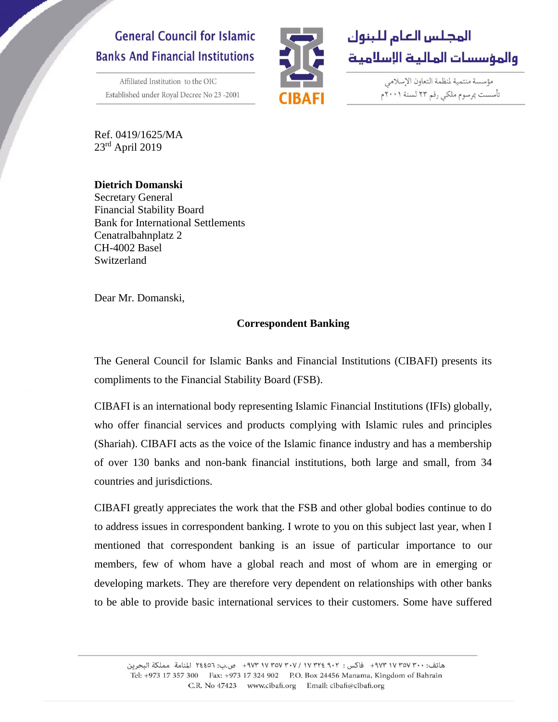# **General Council for Islamic Banks And Financial Institutions**

Affiliated Institution to the OIC Established under Royal Decree No 23-2001





مؤسسة منتمية لمنظمة التعاون الإسلامي تأسست بمرسوم ملكى رقم ٢٣ لسنة ٢٠٠١م

Ref. 0419/1625/MA 23rd April 2019

**Dietrich Domanski** Secretary General Financial Stability Board Bank for International Settlements Cenatralbahnplatz 2 CH-4002 Basel Switzerland

Dear Mr. Domanski,

## **Correspondent Banking**

The General Council for Islamic Banks and Financial Institutions (CIBAFI) presents its compliments to the Financial Stability Board (FSB).

CIBAFI is an international body representing Islamic Financial Institutions (IFIs) globally, who offer financial services and products complying with Islamic rules and principles (Shariah). CIBAFI acts as the voice of the Islamic finance industry and has a membership of over 130 banks and non-bank financial institutions, both large and small, from 34 countries and jurisdictions.

CIBAFI greatly appreciates the work that the FSB and other global bodies continue to do to address issues in correspondent banking. I wrote to you on this subject last year, when I mentioned that correspondent banking is an issue of particular importance to our members, few of whom have a global reach and most of whom are in emerging or developing markets. They are therefore very dependent on relationships with other banks to be able to provide basic international services to their customers. Some have suffered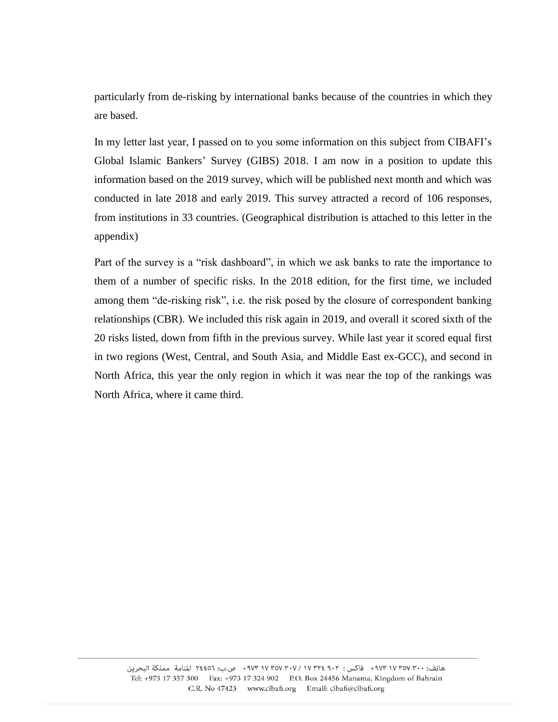particularly from de-risking by international banks because of the countries in which they are based.

In my letter last year, I passed on to you some information on this subject from CIBAFI's Global Islamic Bankers' Survey (GIBS) 2018. I am now in a position to update this information based on the 2019 survey, which will be published next month and which was conducted in late 2018 and early 2019. This survey attracted a record of 106 responses, from institutions in 33 countries. (Geographical distribution is attached to this letter in the appendix)

Part of the survey is a "risk dashboard", in which we ask banks to rate the importance to them of a number of specific risks. In the 2018 edition, for the first time, we included among them "de-risking risk", i.e. the risk posed by the closure of correspondent banking relationships (CBR). We included this risk again in 2019, and overall it scored sixth of the 20 risks listed, down from fifth in the previous survey. While last year it scored equal first in two regions (West, Central, and South Asia, and Middle East ex-GCC), and second in North Africa, this year the only region in which it was near the top of the rankings was North Africa, where it came third.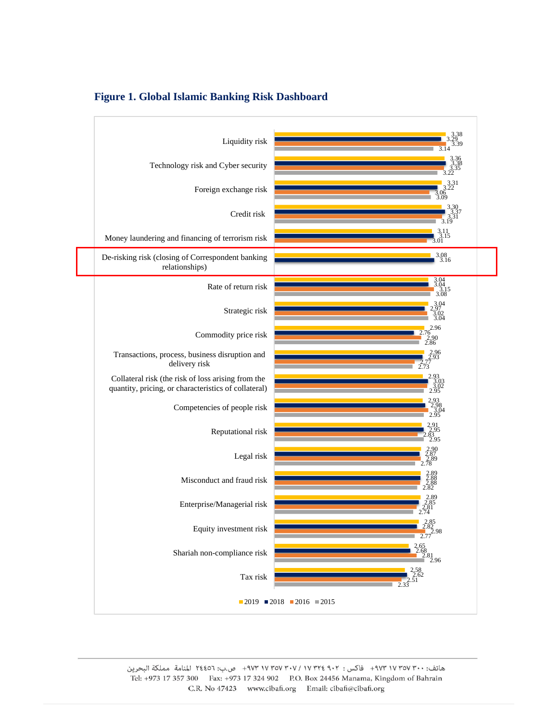

#### **Figure 1. Global Islamic Banking Risk Dashboard**

هاتف: ٠٠٣ ٧٥٧ ١٧ ٩٧٣+ فاكس : ٢٠٢ ٢٥٧ ٧٧ ٣٧٧ ٣٠٧ ١٧ ٩٧٣+ ص.ب: ٢٤٤٥٦ المنامة مملكة البحرين Tel: +973 17 357 300 Fax: +973 17 324 902 P.O. Box 24456 Manama, Kingdom of Bahrain C.R. No 47423 www.cibafi.org Email: cibafi@cibafi.org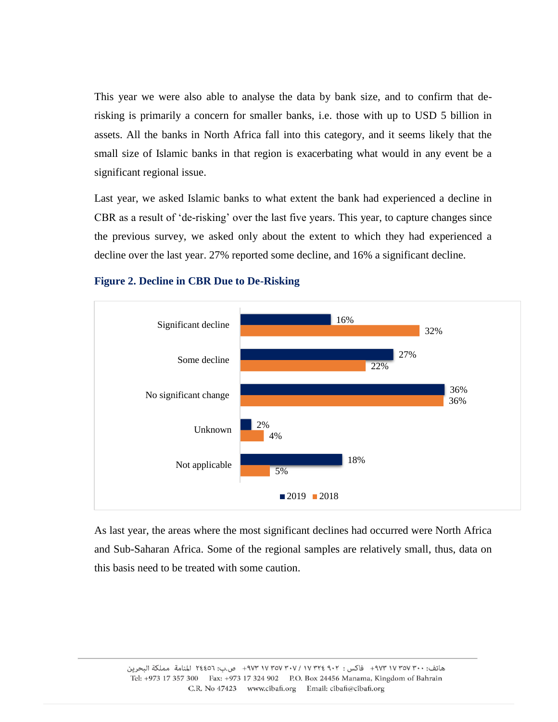This year we were also able to analyse the data by bank size, and to confirm that derisking is primarily a concern for smaller banks, i.e. those with up to USD 5 billion in assets. All the banks in North Africa fall into this category, and it seems likely that the small size of Islamic banks in that region is exacerbating what would in any event be a significant regional issue.

Last year, we asked Islamic banks to what extent the bank had experienced a decline in CBR as a result of 'de-risking' over the last five years. This year, to capture changes since the previous survey, we asked only about the extent to which they had experienced a decline over the last year. 27% reported some decline, and 16% a significant decline.



#### **Figure 2. Decline in CBR Due to De-Risking**

As last year, the areas where the most significant declines had occurred were North Africa and Sub-Saharan Africa. Some of the regional samples are relatively small, thus, data on this basis need to be treated with some caution.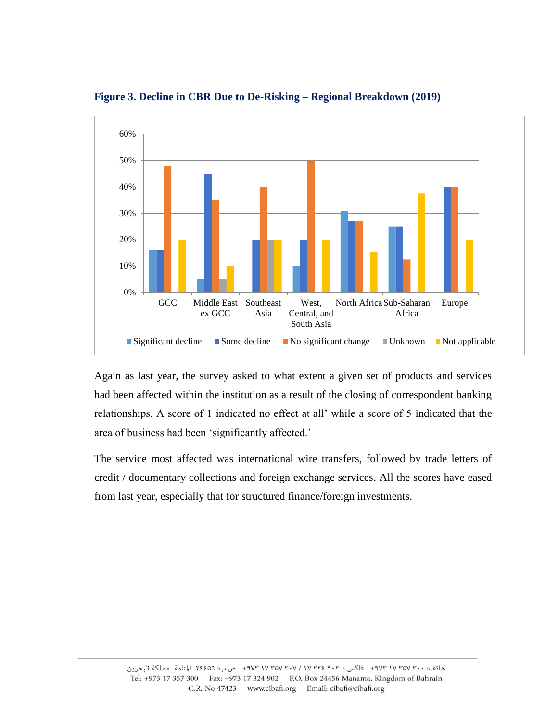

**Figure 3. Decline in CBR Due to De-Risking – Regional Breakdown (2019)**

Again as last year, the survey asked to what extent a given set of products and services had been affected within the institution as a result of the closing of correspondent banking relationships. A score of 1 indicated no effect at all' while a score of 5 indicated that the area of business had been 'significantly affected.'

The service most affected was international wire transfers, followed by trade letters of credit / documentary collections and foreign exchange services. All the scores have eased from last year, especially that for structured finance/foreign investments.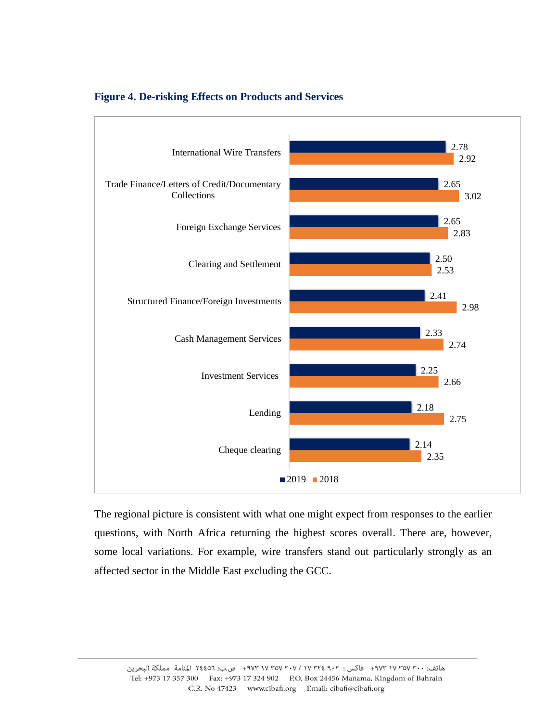

#### **Figure 4. De-risking Effects on Products and Services**

The regional picture is consistent with what one might expect from responses to the earlier questions, with North Africa returning the highest scores overall. There are, however, some local variations. For example, wire transfers stand out particularly strongly as an affected sector in the Middle East excluding the GCC.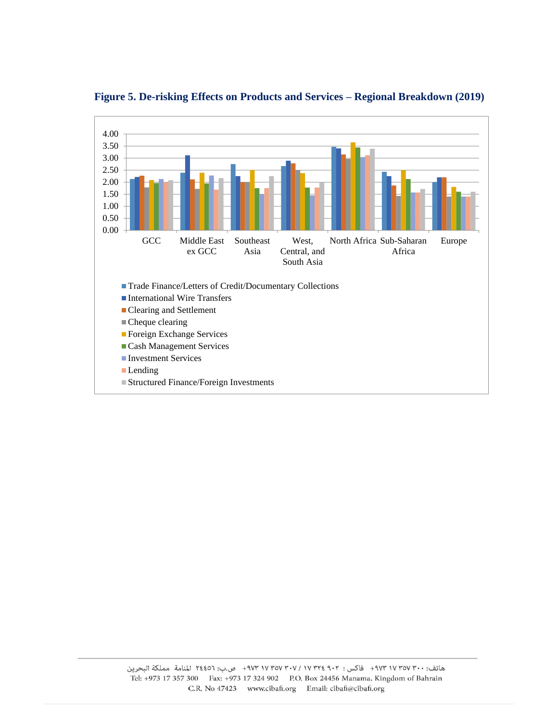

**Figure 5. De-risking Effects on Products and Services – Regional Breakdown (2019)**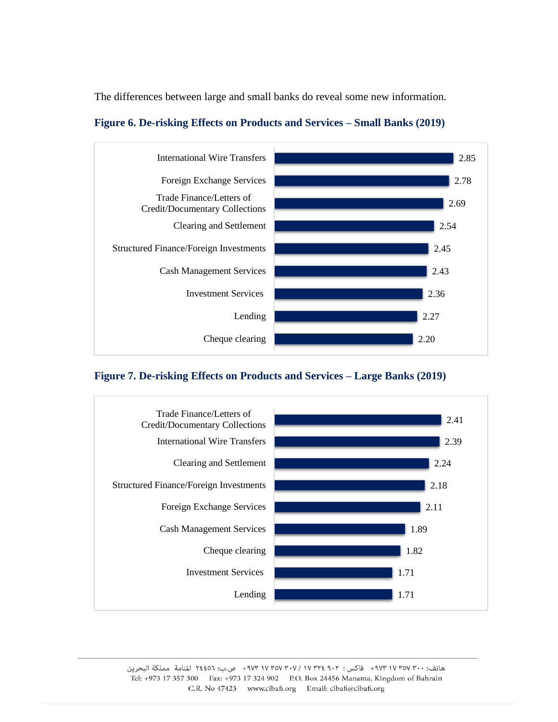The differences between large and small banks do reveal some new information.



## **Figure 6. De-risking Effects on Products and Services – Small Banks (2019)**

## **Figure 7. De-risking Effects on Products and Services – Large Banks (2019)**



هاتف: +٧٣ ٧٥٧ ٩٧٣ + فاكس : ٢٠٢ ٢٢٤ ٢٧٧ ٧٧٣٥٧ ٣٠٧ + ٩٧٣ ص.ب: ٢٤٤٥٦ المنامة مملكة البحرين Tel: +973 17 357 300 Fax: +973 17 324 902 P.O. Box 24456 Manama, Kingdom of Bahrain C.R. No 47423 www.cibafi.org Email: cibafi@cibafi.org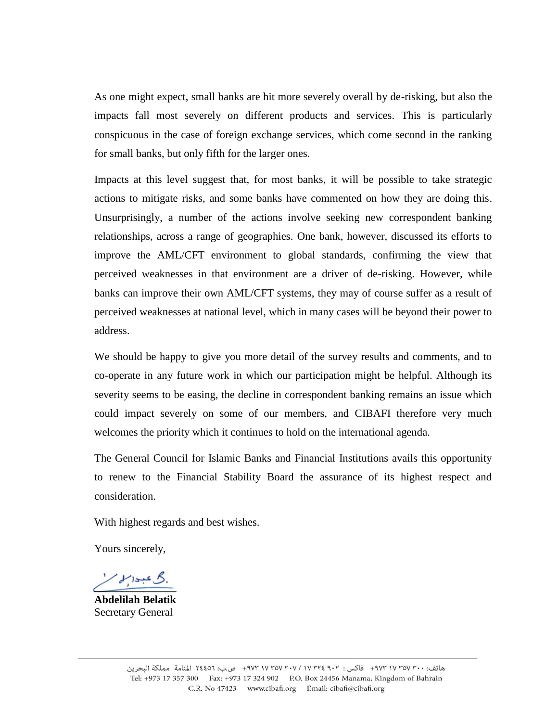As one might expect, small banks are hit more severely overall by de-risking, but also the impacts fall most severely on different products and services. This is particularly conspicuous in the case of foreign exchange services, which come second in the ranking for small banks, but only fifth for the larger ones.

Impacts at this level suggest that, for most banks, it will be possible to take strategic actions to mitigate risks, and some banks have commented on how they are doing this. Unsurprisingly, a number of the actions involve seeking new correspondent banking relationships, across a range of geographies. One bank, however, discussed its efforts to improve the AML/CFT environment to global standards, confirming the view that perceived weaknesses in that environment are a driver of de-risking. However, while banks can improve their own AML/CFT systems, they may of course suffer as a result of perceived weaknesses at national level, which in many cases will be beyond their power to address.

We should be happy to give you more detail of the survey results and comments, and to co-operate in any future work in which our participation might be helpful. Although its severity seems to be easing, the decline in correspondent banking remains an issue which could impact severely on some of our members, and CIBAFI therefore very much welcomes the priority which it continues to hold on the international agenda.

The General Council for Islamic Banks and Financial Institutions avails this opportunity to renew to the Financial Stability Board the assurance of its highest respect and consideration.

With highest regards and best wishes.

Yours sincerely,

**\_\_\_\_\_\_\_\_\_\_\_\_\_\_\_**

**Abdelilah Belatik** Secretary General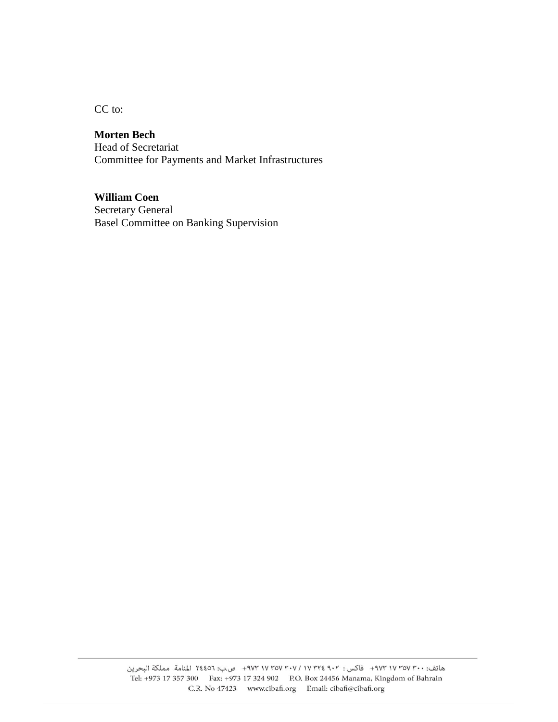CC to:

# **Morten Bech**

Head of Secretariat Committee for Payments and Market Infrastructures

## **William Coen**

Secretary General Basel Committee on Banking Supervision